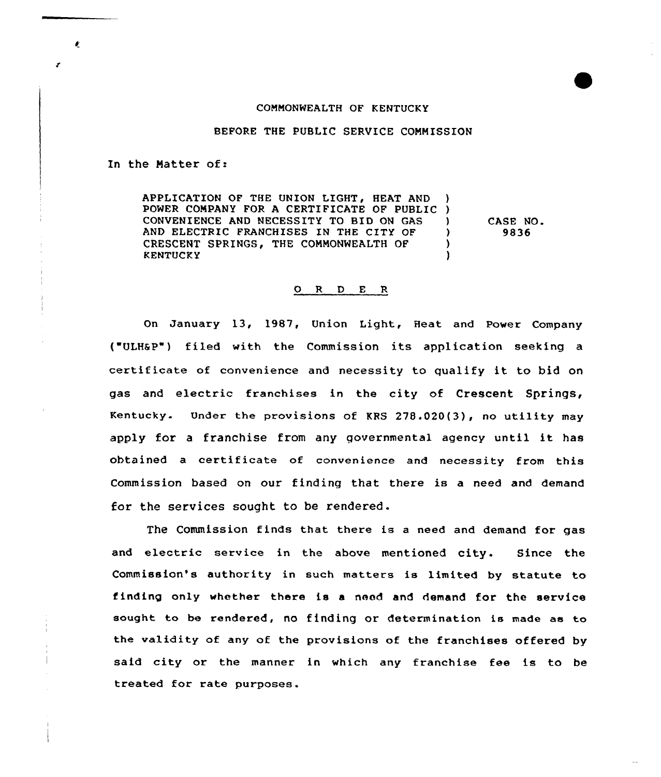## COMMONWEALTH OF KENTUCKY

BEFORE THE PUBLIC SERVICE COMMISSION

In the Natter of:

APPLICATION OF THE UNION LIGHT, HEAT AND POWER COMPANY FOR <sup>A</sup> CERTIFICATE OF PUBLIC ) CONVENIENCE AND NECESSITY TO BID ON GAS ) AND ELECTRIC FRANCHISES IN THE CITY OF ) CRESCENT SPRINGS, THE COMMONWEALTH OF )<br>KENTUCKY **KENTUCKY** CASE NO. 9836

## 0 <sup>R</sup> <sup>D</sup> E R

On January 13, 1987, Union Light, Heat and Power Company ("ULHSP") filed with the Commission its application seeking certificate of convenience and necessity to qualify it to bid on gas and electric franchises in the city of Crescent Springs, Kentucky. Under the provisions of KRS 278.020(3), no utility may apply for <sup>a</sup> franchise from any governmental agency until it has obtained <sup>a</sup> certificate of convenience and necessity from this Commission based on our finding that there is a need and demand for the services sought to be rendered.

The Commission finds that there is <sup>a</sup> need and demand for gas and electric service in the above mentioned city. Since the Commission's authority in such matters is limited by statute to finding only whether there is a need and demand for the service sought to be rendered, no finding or determination is made as to the validity of any of the provisions of the franchises offered by said city or the manner in which any franchise fee is to be treated for rate purposes.

 $\pmb{\theta}$